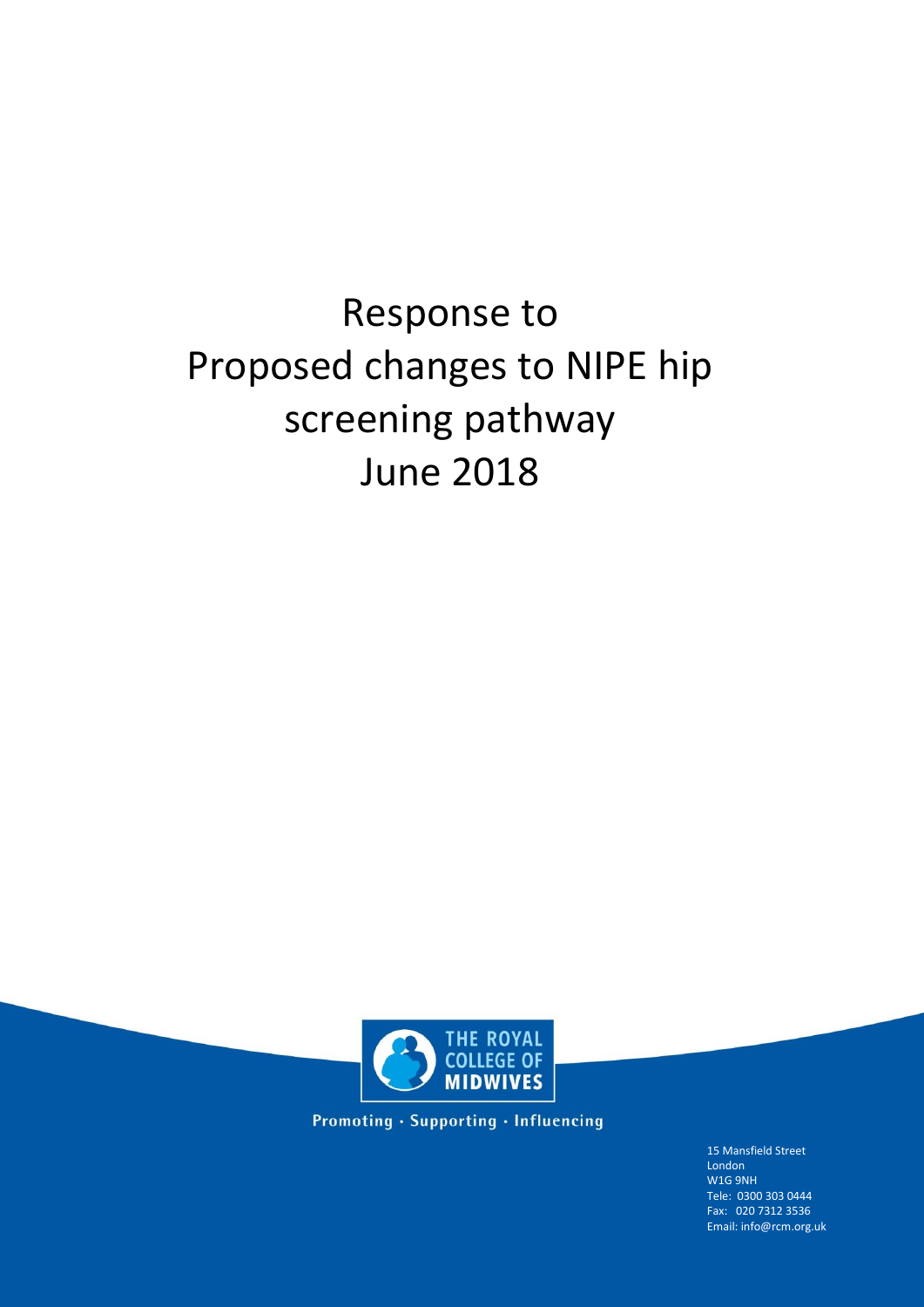# Response to Proposed changes to NIPE hip screening pathway June 2018



Promoting · Supporting · Influencing

15 Mansfield Street London W1G 9NH Tele: 0300 303 0444 Fax: 020 7312 3536 Email: info@rcm.org.uk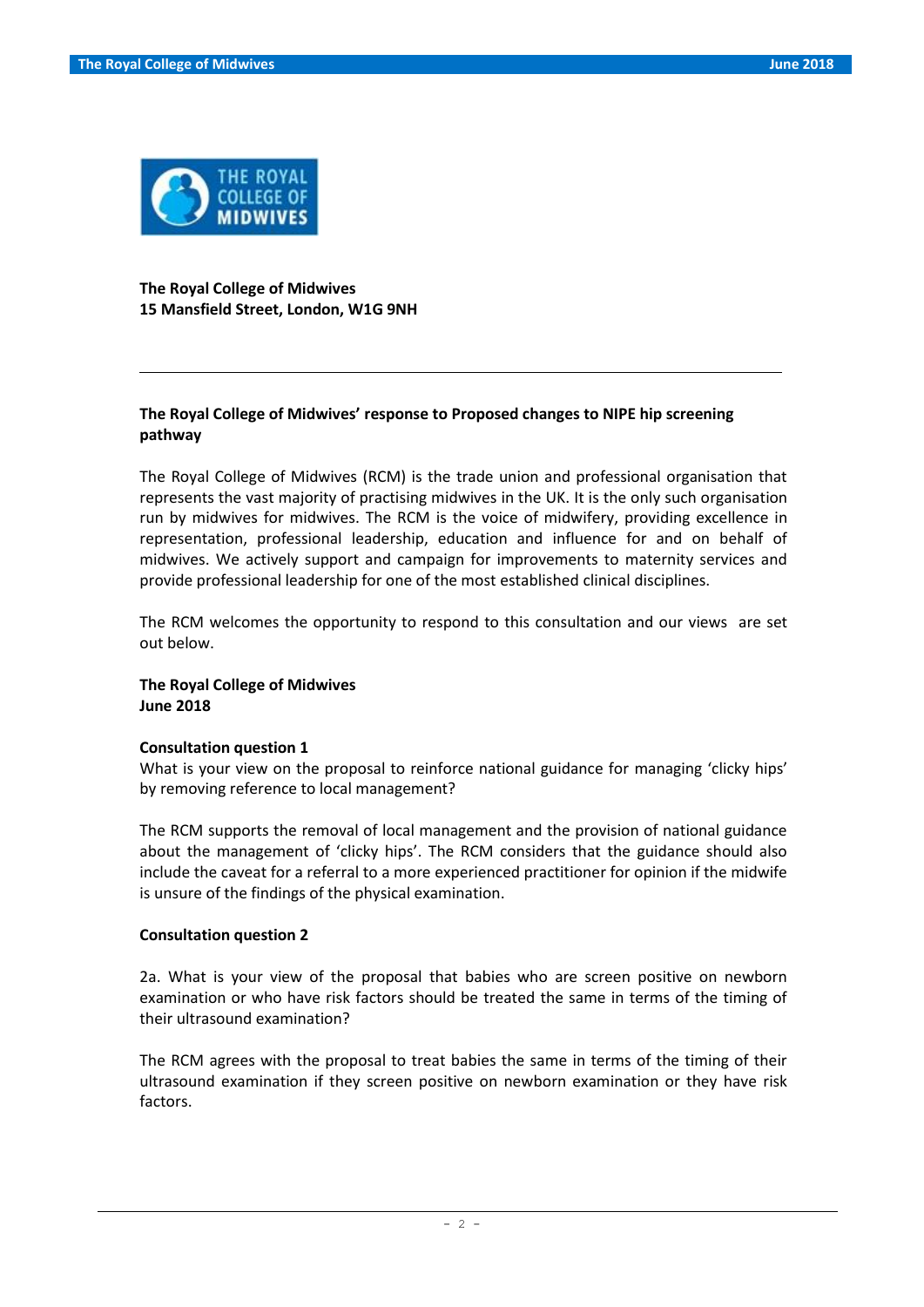

**The Royal College of Midwives 15 Mansfield Street, London, W1G 9NH**

# **The Royal College of Midwives' response to Proposed changes to NIPE hip screening pathway**

The Royal College of Midwives (RCM) is the trade union and professional organisation that represents the vast majority of practising midwives in the UK. It is the only such organisation run by midwives for midwives. The RCM is the voice of midwifery, providing excellence in representation, professional leadership, education and influence for and on behalf of midwives. We actively support and campaign for improvements to maternity services and provide professional leadership for one of the most established clinical disciplines.

The RCM welcomes the opportunity to respond to this consultation and our views are set out below.

## **The Royal College of Midwives June 2018**

#### **Consultation question 1**

What is your view on the proposal to reinforce national guidance for managing 'clicky hips' by removing reference to local management?

The RCM supports the removal of local management and the provision of national guidance about the management of 'clicky hips'. The RCM considers that the guidance should also include the caveat for a referral to a more experienced practitioner for opinion if the midwife is unsure of the findings of the physical examination.

#### **Consultation question 2**

2a. What is your view of the proposal that babies who are screen positive on newborn examination or who have risk factors should be treated the same in terms of the timing of their ultrasound examination?

The RCM agrees with the proposal to treat babies the same in terms of the timing of their ultrasound examination if they screen positive on newborn examination or they have risk factors.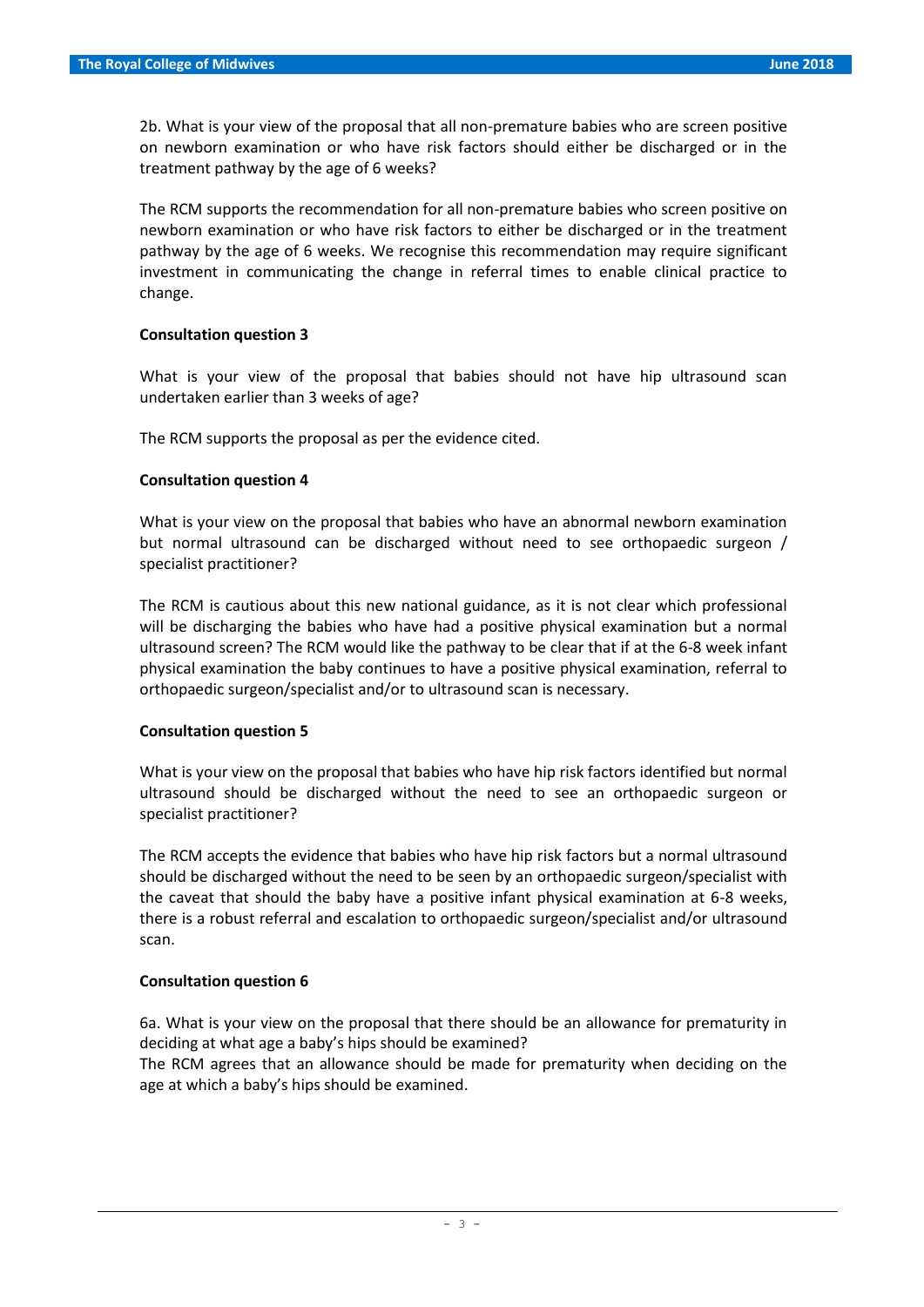2b. What is your view of the proposal that all non-premature babies who are screen positive on newborn examination or who have risk factors should either be discharged or in the treatment pathway by the age of 6 weeks?

The RCM supports the recommendation for all non-premature babies who screen positive on newborn examination or who have risk factors to either be discharged or in the treatment pathway by the age of 6 weeks. We recognise this recommendation may require significant investment in communicating the change in referral times to enable clinical practice to change.

## **Consultation question 3**

What is your view of the proposal that babies should not have hip ultrasound scan undertaken earlier than 3 weeks of age?

The RCM supports the proposal as per the evidence cited.

## **Consultation question 4**

What is your view on the proposal that babies who have an abnormal newborn examination but normal ultrasound can be discharged without need to see orthopaedic surgeon / specialist practitioner?

The RCM is cautious about this new national guidance, as it is not clear which professional will be discharging the babies who have had a positive physical examination but a normal ultrasound screen? The RCM would like the pathway to be clear that if at the 6-8 week infant physical examination the baby continues to have a positive physical examination, referral to orthopaedic surgeon/specialist and/or to ultrasound scan is necessary.

## **Consultation question 5**

What is your view on the proposal that babies who have hip risk factors identified but normal ultrasound should be discharged without the need to see an orthopaedic surgeon or specialist practitioner?

The RCM accepts the evidence that babies who have hip risk factors but a normal ultrasound should be discharged without the need to be seen by an orthopaedic surgeon/specialist with the caveat that should the baby have a positive infant physical examination at 6-8 weeks, there is a robust referral and escalation to orthopaedic surgeon/specialist and/or ultrasound scan.

## **Consultation question 6**

6a. What is your view on the proposal that there should be an allowance for prematurity in deciding at what age a baby's hips should be examined?

The RCM agrees that an allowance should be made for prematurity when deciding on the age at which a baby's hips should be examined.